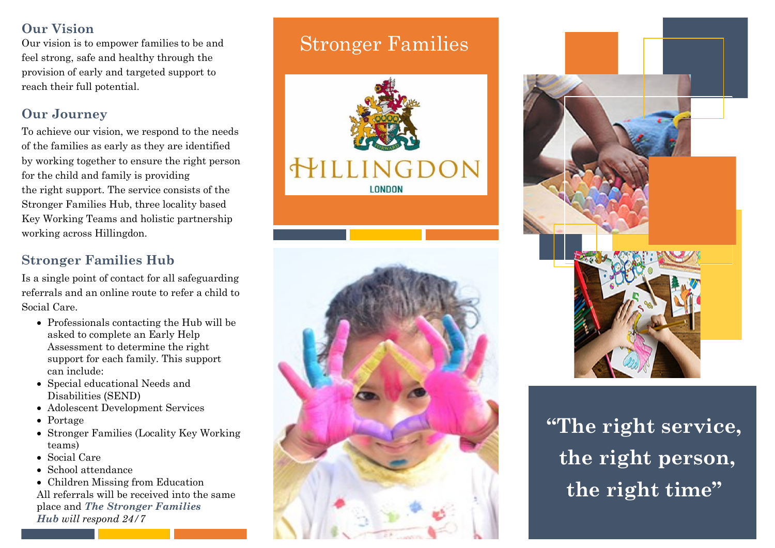## **Our Vision**

Our vision is to empower families to be and feel strong, safe and healthy through the provision of early and targeted support to reach their full potential.

## **Our Journey**

To achieve our vision, we respond to the needs of the families as early as they are identified by working together to ensure the right person for the child and family is providing the right support. The service consists of the Stronger Families Hub, three locality based Key Working Teams and holistic partnership working across Hillingdon.

## **Stronger Families Hub**

Is a single point of contact for all safeguarding referrals and an online route to refer a child to Social Care.

- Professionals contacting the Hub will be asked to complete an Early Help Assessment to determine the right support for each family. This support can include:
- Special educational Needs and Disabilities (SEND)
- Adolescent Development Services
- Portage
- Stronger Families (Locality Key Working teams)
- Social Care
- School attendance

• Children Missing from Education All referrals will be received into the same place and *The Stronger Families Hub will respond 24/7*

# Stronger Families







# **"The right service, the right person, the right time"**